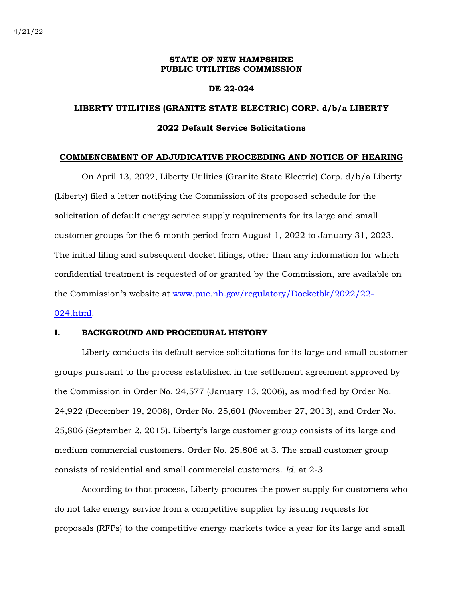# **STATE OF NEW HAMPSHIRE PUBLIC UTILITIES COMMISSION**

## **DE 22-024**

# **LIBERTY UTILITIES (GRANITE STATE ELECTRIC) CORP. d/b/a LIBERTY 2022 Default Service Solicitations**

#### **COMMENCEMENT OF ADJUDICATIVE PROCEEDING AND NOTICE OF HEARING**

On April 13, 2022, Liberty Utilities (Granite State Electric) Corp. d/b/a Liberty (Liberty) filed a letter notifying the Commission of its proposed schedule for the solicitation of default energy service supply requirements for its large and small customer groups for the 6-month period from August 1, 2022 to January 31, 2023. The initial filing and subsequent docket filings, other than any information for which confidential treatment is requested of or granted by the Commission, are available on the Commission's website at [www.puc.nh.gov/regulatory/Docketbk/2022/22-](http://www.puc.nh.gov/regulatory/Docketbk/2022/22-024.html) [024.html.](http://www.puc.nh.gov/regulatory/Docketbk/2022/22-024.html)

# **I. BACKGROUND AND PROCEDURAL HISTORY**

Liberty conducts its default service solicitations for its large and small customer groups pursuant to the process established in the settlement agreement approved by the Commission in Order No. 24,577 (January 13, 2006), as modified by Order No. 24,922 (December 19, 2008), Order No. 25,601 (November 27, 2013), and Order No. 25,806 (September 2, 2015). Liberty's large customer group consists of its large and medium commercial customers. Order No. 25,806 at 3. The small customer group consists of residential and small commercial customers. *Id.* at 2-3.

According to that process, Liberty procures the power supply for customers who do not take energy service from a competitive supplier by issuing requests for proposals (RFPs) to the competitive energy markets twice a year for its large and small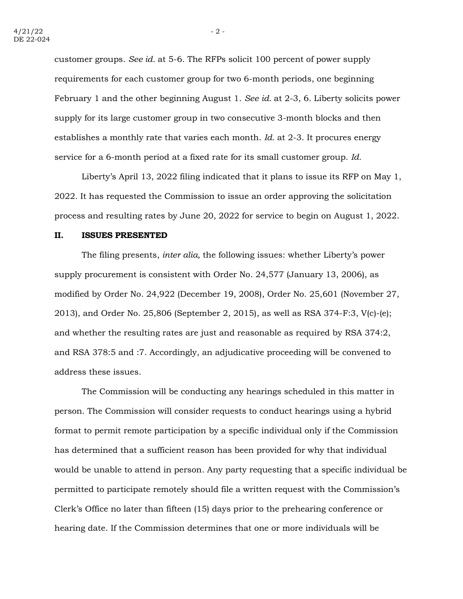customer groups. *See id.* at 5-6. The RFPs solicit 100 percent of power supply requirements for each customer group for two 6-month periods, one beginning February 1 and the other beginning August 1. *See id.* at 2-3, 6. Liberty solicits power supply for its large customer group in two consecutive 3-month blocks and then establishes a monthly rate that varies each month. *Id.* at 2-3. It procures energy service for a 6-month period at a fixed rate for its small customer group. *Id.*

Liberty's April 13, 2022 filing indicated that it plans to issue its RFP on May 1, 2022. It has requested the Commission to issue an order approving the solicitation process and resulting rates by June 20, 2022 for service to begin on August 1, 2022.

### **II. ISSUES PRESENTED**

The filing presents, *inter alia,* the following issues: whether Liberty's power supply procurement is consistent with Order No. 24,577 (January 13, 2006), as modified by Order No. 24,922 (December 19, 2008), Order No. 25,601 (November 27, 2013), and Order No. 25,806 (September 2, 2015), as well as RSA 374-F:3, V(c)-(e); and whether the resulting rates are just and reasonable as required by RSA 374:2, and RSA 378:5 and :7. Accordingly, an adjudicative proceeding will be convened to address these issues.

The Commission will be conducting any hearings scheduled in this matter in person. The Commission will consider requests to conduct hearings using a hybrid format to permit remote participation by a specific individual only if the Commission has determined that a sufficient reason has been provided for why that individual would be unable to attend in person. Any party requesting that a specific individual be permitted to participate remotely should file a written request with the Commission's Clerk's Office no later than fifteen (15) days prior to the prehearing conference or hearing date. If the Commission determines that one or more individuals will be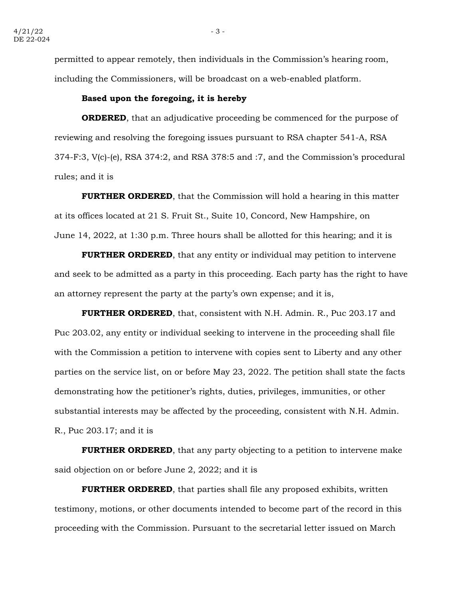permitted to appear remotely, then individuals in the Commission's hearing room, including the Commissioners, will be broadcast on a web-enabled platform.

### **Based upon the foregoing, it is hereby**

**ORDERED**, that an adjudicative proceeding be commenced for the purpose of reviewing and resolving the foregoing issues pursuant to RSA chapter 541-A, RSA 374-F:3, V(c)-(e), RSA 374:2, and RSA 378:5 and :7, and the Commission's procedural rules; and it is

**FURTHER ORDERED**, that the Commission will hold a hearing in this matter at its offices located at 21 S. Fruit St., Suite 10, Concord, New Hampshire, on June 14, 2022, at 1:30 p.m. Three hours shall be allotted for this hearing; and it is

**FURTHER ORDERED**, that any entity or individual may petition to intervene and seek to be admitted as a party in this proceeding. Each party has the right to have an attorney represent the party at the party's own expense; and it is,

**FURTHER ORDERED**, that, consistent with N.H. Admin. R., Puc 203.17 and Puc 203.02, any entity or individual seeking to intervene in the proceeding shall file with the Commission a petition to intervene with copies sent to Liberty and any other parties on the service list, on or before May 23, 2022. The petition shall state the facts demonstrating how the petitioner's rights, duties, privileges, immunities, or other substantial interests may be affected by the proceeding, consistent with N.H. Admin. R., Puc 203.17; and it is

**FURTHER ORDERED**, that any party objecting to a petition to intervene make said objection on or before June 2, 2022; and it is

**FURTHER ORDERED**, that parties shall file any proposed exhibits, written testimony, motions, or other documents intended to become part of the record in this proceeding with the Commission. Pursuant to the secretarial letter issued on March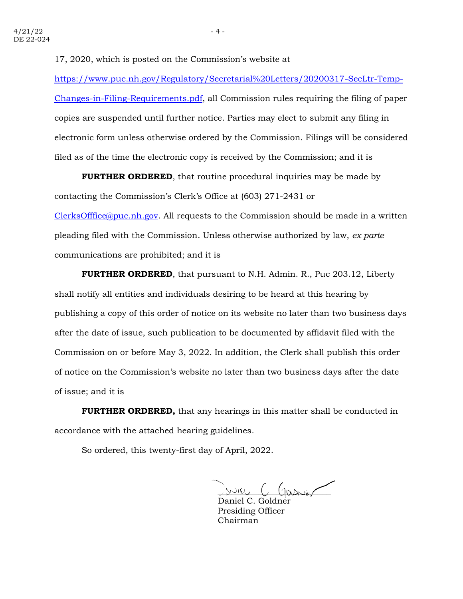17, 2020, which is posted on the Commission's website at

[https://www.puc.nh.gov/Regulatory/Secretarial%20Letters/20200317-SecLtr-Temp-](https://www.puc.nh.gov/Regulatory/Secretarial%20Letters/20200317-SecLtr-Temp-Changes-in-Filing-Requirements.pdf)[Changes-in-Filing-Requirements.pdf,](https://www.puc.nh.gov/Regulatory/Secretarial%20Letters/20200317-SecLtr-Temp-Changes-in-Filing-Requirements.pdf) all Commission rules requiring the filing of paper copies are suspended until further notice. Parties may elect to submit any filing in electronic form unless otherwise ordered by the Commission. Filings will be considered filed as of the time the electronic copy is received by the Commission; and it is

**FURTHER ORDERED**, that routine procedural inquiries may be made by contacting the Commission's Clerk's Office at (603) 271-2431 or [ClerksOfffice@puc.nh.gov.](mailto:ClerksOfffice@puc.nh.gov) All requests to the Commission should be made in a written pleading filed with the Commission. Unless otherwise authorized by law, *ex parte* communications are prohibited; and it is

**FURTHER ORDERED**, that pursuant to N.H. Admin. R., Puc 203.12, Liberty shall notify all entities and individuals desiring to be heard at this hearing by publishing a copy of this order of notice on its website no later than two business days after the date of issue, such publication to be documented by affidavit filed with the Commission on or before May 3, 2022. In addition, the Clerk shall publish this order of notice on the Commission's website no later than two business days after the date of issue; and it is

**FURTHER ORDERED,** that any hearings in this matter shall be conducted in accordance with the attached hearing guidelines.

So ordered, this twenty-first day of April, 2022.

 $S/NIEU$   $C$   $(1000000)$ 

Daniel C. Goldne Presiding Officer Chairman